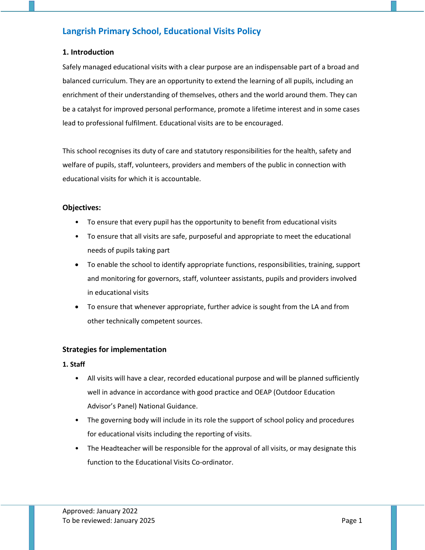# **Langrish Primary School, Educational Visits Policy**

## **1. Introduction**

Safely managed educational visits with a clear purpose are an indispensable part of a broad and balanced curriculum. They are an opportunity to extend the learning of all pupils, including an enrichment of their understanding of themselves, others and the world around them. They can be a catalyst for improved personal performance, promote a lifetime interest and in some cases lead to professional fulfilment. Educational visits are to be encouraged.

This school recognises its duty of care and statutory responsibilities for the health, safety and welfare of pupils, staff, volunteers, providers and members of the public in connection with educational visits for which it is accountable.

### **Objectives:**

- To ensure that every pupil has the opportunity to benefit from educational visits
- To ensure that all visits are safe, purposeful and appropriate to meet the educational needs of pupils taking part
- To enable the school to identify appropriate functions, responsibilities, training, support and monitoring for governors, staff, volunteer assistants, pupils and providers involved in educational visits
- To ensure that whenever appropriate, further advice is sought from the LA and from other technically competent sources.

## **Strategies for implementation**

#### **1. Staff**

- All visits will have a clear, recorded educational purpose and will be planned sufficiently well in advance in accordance with good practice and OEAP (Outdoor Education Advisor's Panel) National Guidance.
- The governing body will include in its role the support of school policy and procedures for educational visits including the reporting of visits.
- The Headteacher will be responsible for the approval of all visits, or may designate this function to the Educational Visits Co-ordinator.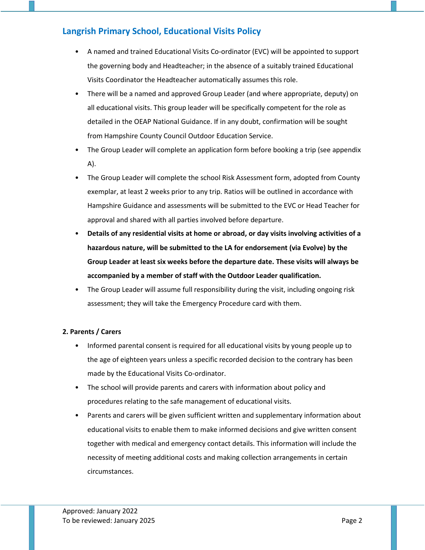# **Langrish Primary School, Educational Visits Policy**

- A named and trained Educational Visits Co-ordinator (EVC) will be appointed to support the governing body and Headteacher; in the absence of a suitably trained Educational Visits Coordinator the Headteacher automatically assumes this role.
- There will be a named and approved Group Leader (and where appropriate, deputy) on all educational visits. This group leader will be specifically competent for the role as detailed in the OEAP National Guidance. If in any doubt, confirmation will be sought from Hampshire County Council Outdoor Education Service.
- The Group Leader will complete an application form before booking a trip (see appendix A).
- The Group Leader will complete the school Risk Assessment form, adopted from County exemplar, at least 2 weeks prior to any trip. Ratios will be outlined in accordance with Hampshire Guidance and assessments will be submitted to the EVC or Head Teacher for approval and shared with all parties involved before departure.
- **Details of any residential visits at home or abroad, or day visits involving activities of a hazardous nature, will be submitted to the LA for endorsement (via Evolve) by the Group Leader at least six weeks before the departure date. These visits will always be accompanied by a member of staff with the Outdoor Leader qualification.**
- The Group Leader will assume full responsibility during the visit, including ongoing risk assessment; they will take the Emergency Procedure card with them.

## **2. Parents / Carers**

- Informed parental consent is required for all educational visits by young people up to the age of eighteen years unless a specific recorded decision to the contrary has been made by the Educational Visits Co-ordinator.
- The school will provide parents and carers with information about policy and procedures relating to the safe management of educational visits.
- Parents and carers will be given sufficient written and supplementary information about educational visits to enable them to make informed decisions and give written consent together with medical and emergency contact details. This information will include the necessity of meeting additional costs and making collection arrangements in certain circumstances.